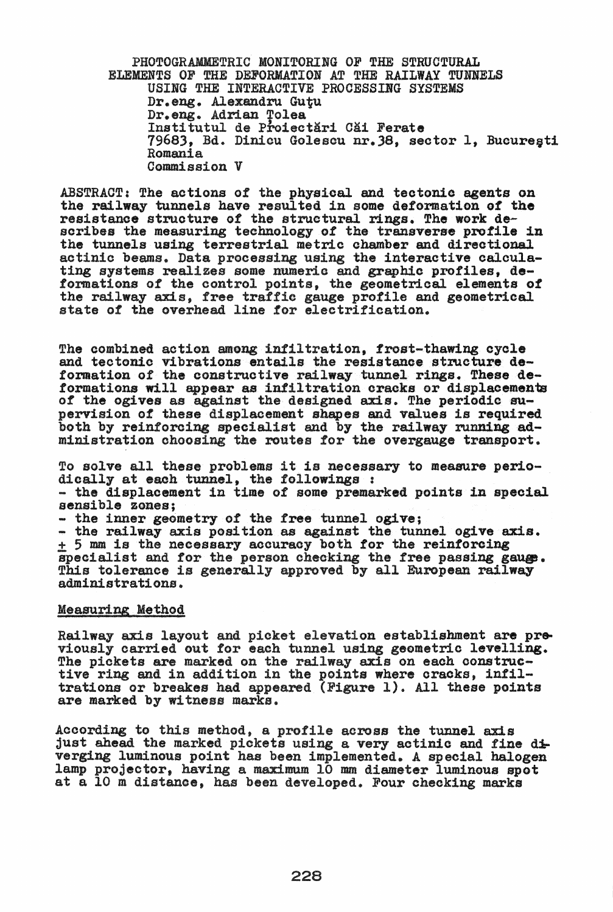PHOTOGRAMMETRIC MONITORING OF THE STRUCTURAL ELEMENTS OF THE DEFORMATION AT THE RAILWAY TUNNELS USING THE INTERACTIVE PROCESSING SYSTEMS Dr. eng. Alexandru Gutu Dr. eng. Adrian Tolea Institutul de Proiectări Căi Ferate 7968), Bd. DiDiou Golescu nr.38, sector 1, Buoureoti Romania Oommission V

ABSTRACT: The aotions of the physical and tectonic agents on the railway tunnels have resulted in some deformation of the resistanoe struoture of the structural rings. The work describes the measuring technology of the transverse profile in the tunnels using terrestrial metric chamber and direotional aotinio beams. Data processing using the interactive oalculating systems realizes some numeric and graphic profiles, deformations *ot* the control points, the geometrical elements of the railway axis, free traffic gauge profile and geometrioal state of the overhead line for electrification.

The combined action among infiltration, frost-thawing cycle and tectonic vibrations entails the resistance structure deformation of the construotive railway tunnel rings. These deformations will appear as infiltration cracks or displacements of the ogives as against the designed axis. The periodic su-<br>pervision of these displacement shapes and values is required both by reinforcing specialist and by the railway running administration ohoosing the routes for the overgauge transport.

To solve all these problems it is necessary to measure perio-<br>dically at each tunnel, the followings :<br>- the displacement in time of some premarked points in special<br>sensible zones;<br>- the inner geometry of the free tunnel specialist and for the person checking the free passing gauge.<br>This tolerance is generally approved by all European railway administrations.

## Measuring Method

Railway axis layout and picket elevation establishment are pre-<br>viously carried out for each tunnel using geometric levelling.<br>The pickets are marked on the railway axis on each constructive ring and in addition in the points where cracks, infiltrations or breakes had appeared (Figure 1). All these points are marked by witness marks.

Aooording to this method, a profile across the tunnel axis just ahead the marked pickets using a very actinic and fine  $d\mathbf{\dot{+}}$ verging luminous point has been implemented. A special halogen lamp projector. having a maximum 10 mm diameter luminous spot at a 10 m distance, has been developed. Four checking marks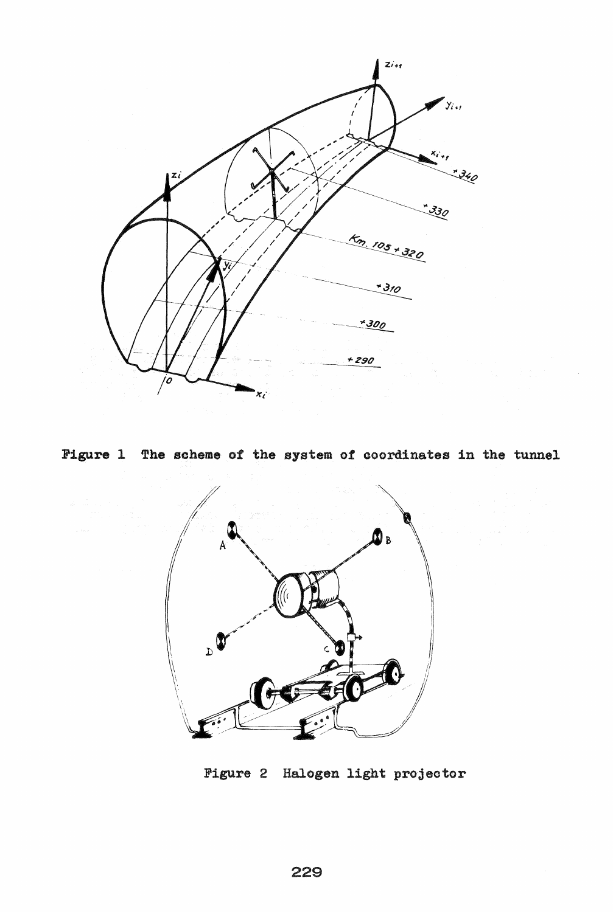

**Figure 1 The** scheme of the system of coordinates in the tunnel



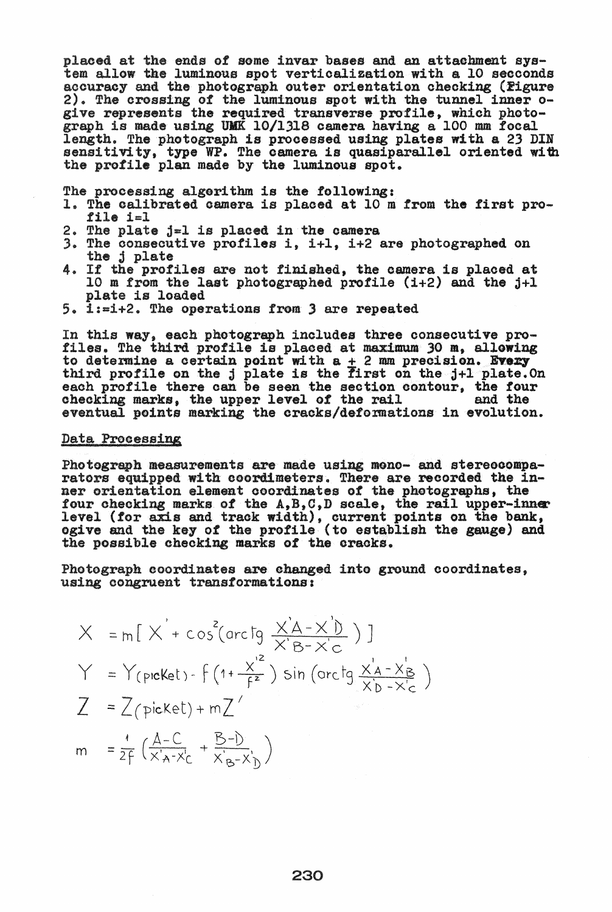placed at the ends of some invar bases and an attachment sys-<br>tem allow the luminous spot verticalization with a 10 secconds accuracy and the photograph outer orientation checking (Figure 2). The crossing of the luminous spot with the tunnel inner 0 give represents the required transverse profile, which photo-<br>graph is made using UMK 10/1318 camera having a 100 mm focal graph is made using UMK 10/1318 camera having a 100 mm focal length. The photograph is processed using plates with a 23 DIN sensitivity, type WP. The camera is quasiparallel oriented with the profile plan made by the luminous spot.

The processing algerithm is the following:

- 1. The calibrated camera is placed at 10 m from the first pro- file  $i=1$
- 2. The plate j=l is plaoed in the oamera
- 3. The consecutive profiles i,  $i+1$ ,  $i+2$  are photographed on the j plate
- 4. If the profiles are not finished, the camera is placed at 10 m from the last photographed profile  $(i+2)$  and the  $j+1$ plate is loaded
- $5. 1:=1+2.$  The operations from 3 are repeated

In this way, each photograph includes three consecutive pro-<br>files. The third profile is placed at maximum 30 m, allowing to determine a certain point with  $a + 2$  mm precision. Every third profile on the *j* plate is the first on the j+l plate. On third profile on the j plate is the first on the j+l plate. On each profile there can be seen the section contour, the four each profile there can be seen the section contour, the four checking marks, the upper level of the rail and the eventual points marking the cracks/deformations in evolution.

## Data Precessing

Photograph measurements are made using mono- and stereocomparators equipped with ooordimeters. There are reoorded the in-Ber orientation element ooordinates *ot* the phetographs. the tour checking marks of the A,B,C,D scale, the rail upper-inner<br>level (for axis and track width), current points on the bank, og1ve and the key of the profile (to establish the gauge) and the possible checking marks of the cracks.

Photograph coordinates are changed into ground coordinates,<br>using congruent transformations:<br> $\forall$  ,  $\{\nabla^{2}(cos \nabla \times A - \nabla^{i})\}\n$ using oongruent transformations:

$$
X = m[X' + cos^{2}(\text{arc to } \frac{x'A - x'B}{x'B - x'c})]
$$
\n
$$
Y = Y(\text{preket}) - f(1 + \frac{x'^{2}}{f^{2}}) sin(\text{arc to } \frac{x'A - x'_{B}}{x'b - x'_{C}})
$$
\n
$$
Z = Z(\text{picket}) + mZ'
$$
\n
$$
m = \frac{1}{2f}(\frac{A-C}{x'a - x'_{C}} + \frac{B-D}{x'a - x'_{D}})
$$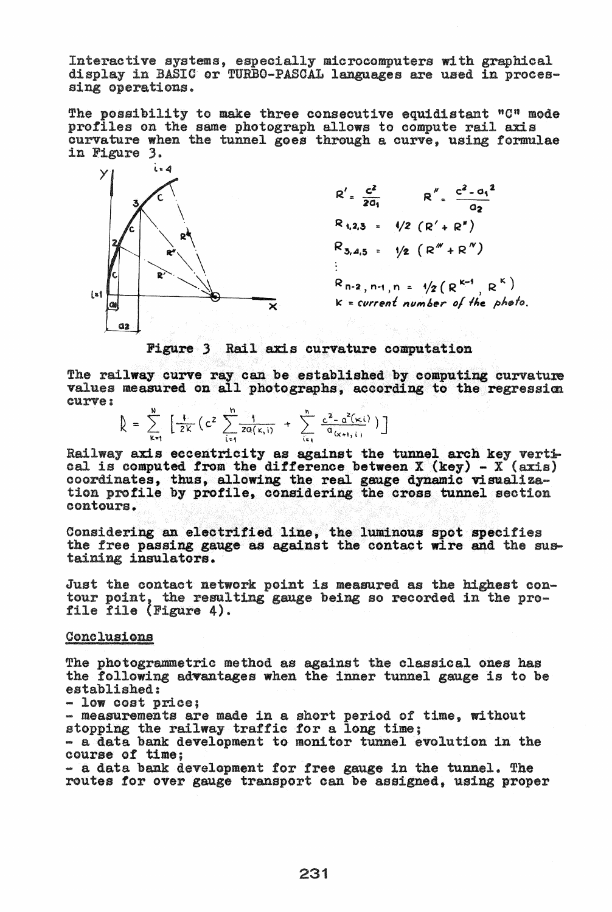microcomputers with graphical are used in processing operations.

The possibility to make three consecutive equidistant "C" mode profiles on the same photograph allows to compute rail axis curvature when the tunnel goes through a curve, using formulae in Figure 3.



 $R''$ .  $C^2 - a_1^2$ 02  $R_{1,2,3}$  =  $1/2 (R' + R'')$  $R_{3,4,5}$  =  $\frac{1}{2}$   $(R''' + R'')$  $R_{n-2,n-1,n} = \sqrt{2(R^{k-1}, R^{k})}$  $k = current$  number of the photo.

Figure 3 Rail axis curvature computation

The railway curve ray can be established by computing curvature values measured on all photographs, according to the regression curve: v curve ray can be establi<br>
wred on all photographs,<br>  $\frac{N}{2}$   $\left[\frac{1}{2V}(c^2 \sum_{n=1}^N \frac{1}{2(1-V_0)^2} + \sum_{n=1}^N \frac{c^2-a^2}{2(1-V_0)^2}\right]$ 

 $\left[ \begin{array}{c} \frac{N}{2K} \end{array} \left[ \frac{1}{2K} \left( c^2 \sum_{i=1}^n \frac{1}{2a(k,i)} + \sum_{i=1}^n \frac{c^2-a^2(k,i)}{a_{(x+i,i)}} \right) \right] \right]$ 

Railway axis eccentricity as against the tunnel arch key vertical is computed from the difference between  $X$  (key) -  $X$  (axis) cal is computed from the difference between  $X$  (key) -  $X$  (axis) coordinates, thus, allowing the real gauge dynamic visualizaprofile by profile, considering the cross tunnel contours.

Considering an electrified line, the luminous spot specifies the free passing gauge as against the contact wire and the sustaining insulators.

Just the contact network point is measured as the highest con-<br>tour point, the resulting gauge being so recorded in the pro-<br>file file (Figure 4).

Conclusions

The photogrammetric method as against the classical ones has the following advantages when the inner tunnel gauge is to be established:<br>- low cost price;

- low cost price;<br>- measurements are made in a short period of time, without stopping the railway traffic for a long time;<br>- a data bank development to monitor tunnel evolution in the

- a data bank development to monitor tunnel evolution in the course of time:

- a data bank development *tor* free gauge in the tunnel. The routes for over gauge transport can be assigned, using proper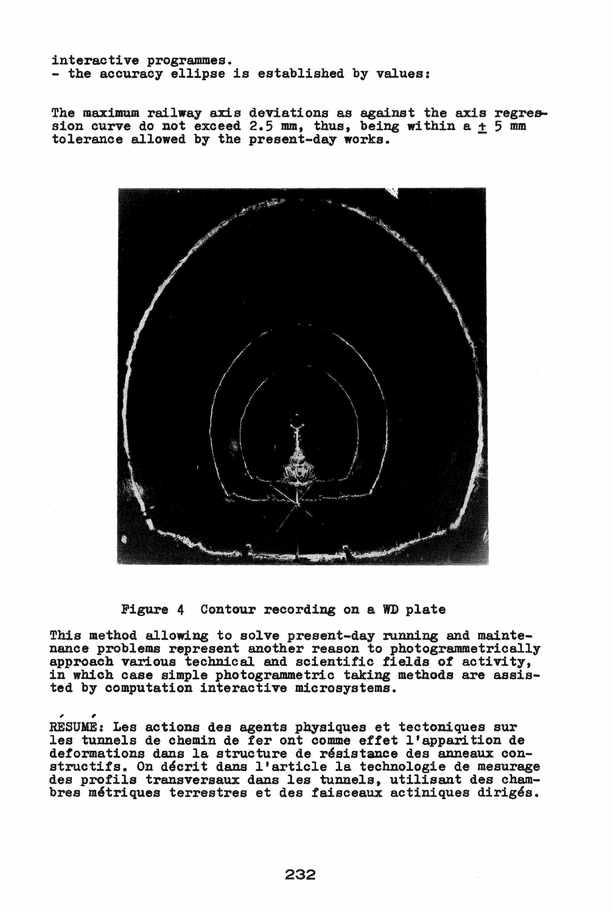interactive programmes.<br>- the accuracy ellipse is established by values:

The maximum railway axis deviations as against the axis regres-<br>sion curve do not exceed 2.5 mm, thus, being within a  $+$  5 mm tolerance allowed by the present-day works.



Figure 4 Contour recording on a WD plate

This method allowing to solve present-day running and maintehance problems represent another reason to photogrammetrically approach various technical and scientific fields of activity, in which case simple photogrammetric taking methods are assisted by computation interactive microsystems.

, , RESUME: Les actioDs des agents pqsiques ettectolliques sur les tunnels de chemin de fer ont comme effet l'apparition de deformations dans la structure de résistance des anneaux con-<br>structifs. On décrit dans l'article la technologie de mesurage structifs. On décrit dans l'article la technologie de mesurage<br>des profils transversaux dans les tunnels, utilisant des chambres métriques terrestres et des faisceaux actiniques dirigés.